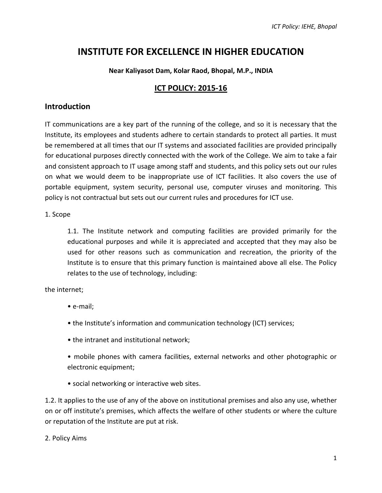# **INSTITUTE FOR EXCELLENCE IN HIGHER EDUCATION**

## **Near Kaliyasot Dam, Kolar Raod, Bhopal, M.P., INDIA**

# **ICT POLICY: 2015-16**

# **Introduction**

IT communications are a key part of the running of the college, and so it is necessary that the Institute, its employees and students adhere to certain standards to protect all parties. It must be remembered at all times that our IT systems and associated facilities are provided principally for educational purposes directly connected with the work of the College. We aim to take a fair and consistent approach to IT usage among staff and students, and this policy sets out our rules on what we would deem to be inappropriate use of ICT facilities. It also covers the use of portable equipment, system security, personal use, computer viruses and monitoring. This policy is not contractual but sets out our current rules and procedures for ICT use.

## 1. Scope

1.1. The Institute network and computing facilities are provided primarily for the educational purposes and while it is appreciated and accepted that they may also be used for other reasons such as communication and recreation, the priority of the Institute is to ensure that this primary function is maintained above all else. The Policy relates to the use of technology, including:

the internet;

- e-mail;
- the Institute's information and communication technology (ICT) services;
- the intranet and institutional network;
- mobile phones with camera facilities, external networks and other photographic or electronic equipment;
- social networking or interactive web sites.

1.2. It applies to the use of any of the above on institutional premises and also any use, whether on or off institute's premises, which affects the welfare of other students or where the culture or reputation of the Institute are put at risk.

## 2. Policy Aims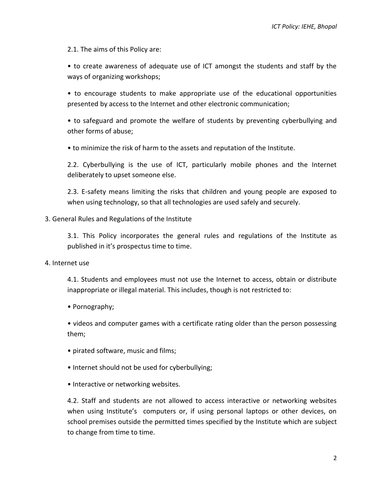2.1. The aims of this Policy are:

• to create awareness of adequate use of ICT amongst the students and staff by the ways of organizing workshops;

• to encourage students to make appropriate use of the educational opportunities presented by access to the Internet and other electronic communication;

• to safeguard and promote the welfare of students by preventing cyberbullying and other forms of abuse;

• to minimize the risk of harm to the assets and reputation of the Institute.

2.2. Cyberbullying is the use of ICT, particularly mobile phones and the Internet deliberately to upset someone else.

2.3. E-safety means limiting the risks that children and young people are exposed to when using technology, so that all technologies are used safely and securely.

#### 3. General Rules and Regulations of the Institute

3.1. This Policy incorporates the general rules and regulations of the Institute as published in it's prospectus time to time.

4. Internet use

4.1. Students and employees must not use the Internet to access, obtain or distribute inappropriate or illegal material. This includes, though is not restricted to:

• Pornography;

• videos and computer games with a certificate rating older than the person possessing them;

- pirated software, music and films;
- Internet should not be used for cyberbullying;
- Interactive or networking websites.

4.2. Staff and students are not allowed to access interactive or networking websites when using Institute's computers or, if using personal laptops or other devices, on school premises outside the permitted times specified by the Institute which are subject to change from time to time.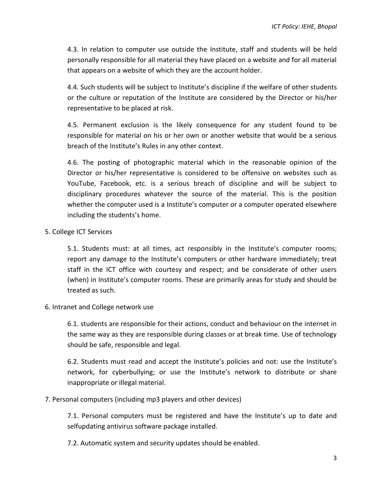4.3. In relation to computer use outside the Institute, staff and students will be held personally responsible for all material they have placed on a website and for all material that appears on a website of which they are the account holder.

4.4. Such students will be subject to Institute's discipline if the welfare of other students or the culture or reputation of the Institute are considered by the Director or his/her representative to be placed at risk.

4.5. Permanent exclusion is the likely consequence for any student found to be responsible for material on his or her own or another website that would be a serious breach of the Institute's Rules in any other context.

4.6. The posting of photographic material which in the reasonable opinion of the Director or his/her representative is considered to be offensive on websites such as YouTube, Facebook, etc. is a serious breach of discipline and will be subject to disciplinary procedures whatever the source of the material. This is the position whether the computer used is a Institute's computer or a computer operated elsewhere including the students's home.

5. College ICT Services

5.1. Students must: at all times, act responsibly in the Institute's computer rooms; report any damage to the Institute's computers or other hardware immediately; treat staff in the ICT office with courtesy and respect; and be considerate of other users (when) in Institute's computer rooms. These are primarily areas for study and should be treated as such.

6. Intranet and College network use

6.1. students are responsible for their actions, conduct and behaviour on the internet in the same way as they are responsible during classes or at break time. Use of technology should be safe, responsible and legal.

6.2. Students must read and accept the Institute's policies and not: use the Institute's network, for cyberbullying; or use the Institute's network to distribute or share inappropriate or illegal material.

# 7. Personal computers (including mp3 players and other devices)

7.1. Personal computers must be registered and have the Institute's up to date and selfupdating antivirus software package installed.

7.2. Automatic system and security updates should be enabled.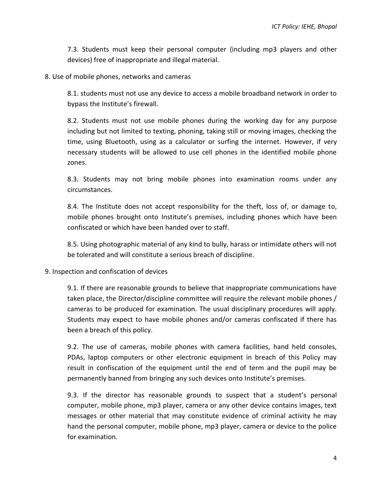7.3. Students must keep their personal computer (including mp3 players and other devices) free of inappropriate and illegal material.

8. Use of mobile phones, networks and cameras

8.1. students must not use any device to access a mobile broadband network in order to bypass the Institute's firewall.

8.2. Students must not use mobile phones during the working day for any purpose including but not limited to texting, phoning, taking still or moving images, checking the time, using Bluetooth, using as a calculator or surfing the internet. However, if very necessary students will be allowed to use cell phones in the identified mobile phone zones.

8.3. Students may not bring mobile phones into examination rooms under any circumstances.

8.4. The Institute does not accept responsibility for the theft, loss of, or damage to, mobile phones brought onto Institute's premises, including phones which have been confiscated or which have been handed over to staff.

8.5. Using photographic material of any kind to bully, harass or intimidate others will not be tolerated and will constitute a serious breach of discipline.

9. Inspection and confiscation of devices

9.1. If there are reasonable grounds to believe that inappropriate communications have taken place, the Director/discipline committee will require the relevant mobile phones / cameras to be produced for examination. The usual disciplinary procedures will apply. Students may expect to have mobile phones and/or cameras confiscated if there has been a breach of this policy.

9.2. The use of cameras, mobile phones with camera facilities, hand held consoles, PDAs, laptop computers or other electronic equipment in breach of this Policy may result in confiscation of the equipment until the end of term and the pupil may be permanently banned from bringing any such devices onto Institute's premises.

9.3. If the director has reasonable grounds to suspect that a student's personal computer, mobile phone, mp3 player, camera or any other device contains images, text messages or other material that may constitute evidence of criminal activity he may hand the personal computer, mobile phone, mp3 player, camera or device to the police for examination.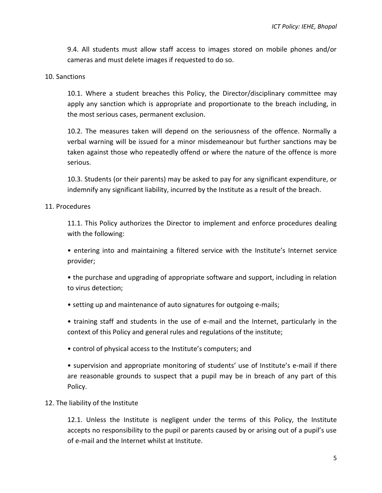9.4. All students must allow staff access to images stored on mobile phones and/or cameras and must delete images if requested to do so.

#### 10. Sanctions

10.1. Where a student breaches this Policy, the Director/disciplinary committee may apply any sanction which is appropriate and proportionate to the breach including, in the most serious cases, permanent exclusion.

10.2. The measures taken will depend on the seriousness of the offence. Normally a verbal warning will be issued for a minor misdemeanour but further sanctions may be taken against those who repeatedly offend or where the nature of the offence is more serious.

10.3. Students (or their parents) may be asked to pay for any significant expenditure, or indemnify any significant liability, incurred by the Institute as a result of the breach.

#### 11. Procedures

11.1. This Policy authorizes the Director to implement and enforce procedures dealing with the following:

• entering into and maintaining a filtered service with the Institute's Internet service provider;

• the purchase and upgrading of appropriate software and support, including in relation to virus detection;

• setting up and maintenance of auto signatures for outgoing e-mails;

• training staff and students in the use of e-mail and the Internet, particularly in the context of this Policy and general rules and regulations of the institute;

• control of physical access to the Institute's computers; and

• supervision and appropriate monitoring of students' use of Institute's e-mail if there are reasonable grounds to suspect that a pupil may be in breach of any part of this Policy.

## 12. The liability of the Institute

12.1. Unless the Institute is negligent under the terms of this Policy, the Institute accepts no responsibility to the pupil or parents caused by or arising out of a pupil's use of e-mail and the Internet whilst at Institute.